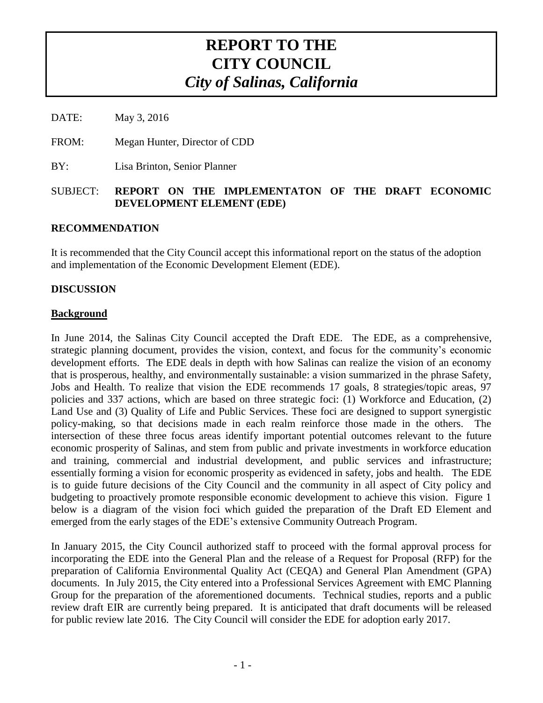# **REPORT TO THE CITY COUNCIL** *City of Salinas, California*

DATE: May 3, 2016

FROM: Megan Hunter, Director of CDD

BY: Lisa Brinton, Senior Planner

#### SUBJECT: **REPORT ON THE IMPLEMENTATON OF THE DRAFT ECONOMIC DEVELOPMENT ELEMENT (EDE)**

#### **RECOMMENDATION**

It is recommended that the City Council accept this informational report on the status of the adoption and implementation of the Economic Development Element (EDE).

#### **DISCUSSION**

#### **Background**

In June 2014, the Salinas City Council accepted the Draft EDE. The EDE, as a comprehensive, strategic planning document, provides the vision, context, and focus for the community's economic development efforts. The EDE deals in depth with how Salinas can realize the vision of an economy that is prosperous, healthy, and environmentally sustainable: a vision summarized in the phrase Safety, Jobs and Health. To realize that vision the EDE recommends 17 goals, 8 strategies/topic areas, 97 policies and 337 actions, which are based on three strategic foci: (1) Workforce and Education, (2) Land Use and (3) Quality of Life and Public Services. These foci are designed to support synergistic policy-making, so that decisions made in each realm reinforce those made in the others. The intersection of these three focus areas identify important potential outcomes relevant to the future economic prosperity of Salinas, and stem from public and private investments in workforce education and training, commercial and industrial development, and public services and infrastructure; essentially forming a vision for economic prosperity as evidenced in safety, jobs and health. The EDE is to guide future decisions of the City Council and the community in all aspect of City policy and budgeting to proactively promote responsible economic development to achieve this vision. Figure 1 below is a diagram of the vision foci which guided the preparation of the Draft ED Element and emerged from the early stages of the EDE's extensive Community Outreach Program.

In January 2015, the City Council authorized staff to proceed with the formal approval process for incorporating the EDE into the General Plan and the release of a Request for Proposal (RFP) for the preparation of California Environmental Quality Act (CEQA) and General Plan Amendment (GPA) documents. In July 2015, the City entered into a Professional Services Agreement with EMC Planning Group for the preparation of the aforementioned documents. Technical studies, reports and a public review draft EIR are currently being prepared. It is anticipated that draft documents will be released for public review late 2016. The City Council will consider the EDE for adoption early 2017.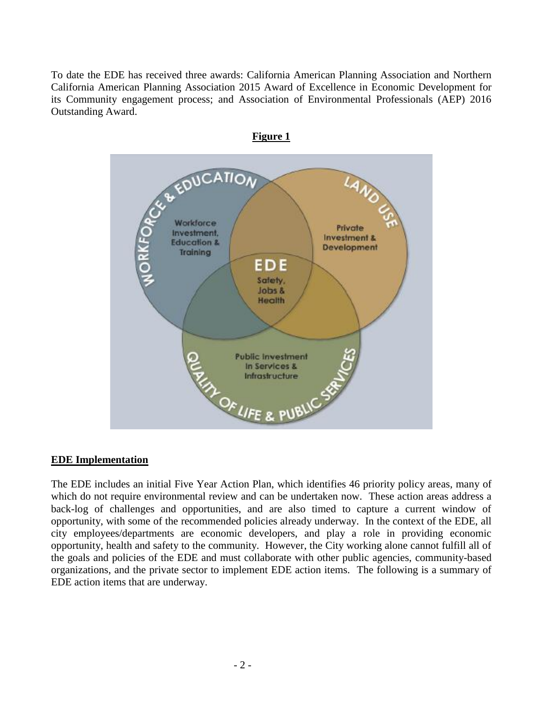To date the EDE has received three awards: California American Planning Association and Northern California American Planning Association 2015 Award of Excellence in Economic Development for its Community engagement process; and Association of Environmental Professionals (AEP) 2016 Outstanding Award.



#### **EDE Implementation**

The EDE includes an initial Five Year Action Plan, which identifies 46 priority policy areas, many of which do not require environmental review and can be undertaken now. These action areas address a back-log of challenges and opportunities, and are also timed to capture a current window of opportunity, with some of the recommended policies already underway. In the context of the EDE, all city employees/departments are economic developers, and play a role in providing economic opportunity, health and safety to the community. However, the City working alone cannot fulfill all of the goals and policies of the EDE and must collaborate with other public agencies, community-based organizations, and the private sector to implement EDE action items. The following is a summary of EDE action items that are underway.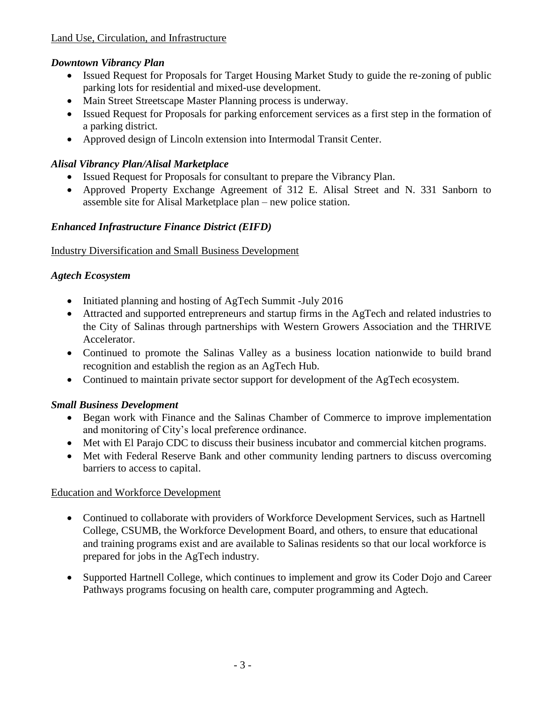# *Downtown Vibrancy Plan*

- Issued Request for Proposals for Target Housing Market Study to guide the re-zoning of public parking lots for residential and mixed-use development.
- Main Street Streetscape Master Planning process is underway.
- Issued Request for Proposals for parking enforcement services as a first step in the formation of a parking district.
- Approved design of Lincoln extension into Intermodal Transit Center.

# *Alisal Vibrancy Plan/Alisal Marketplace*

- Issued Request for Proposals for consultant to prepare the Vibrancy Plan.
- Approved Property Exchange Agreement of 312 E. Alisal Street and N. 331 Sanborn to assemble site for Alisal Marketplace plan – new police station.

## *Enhanced Infrastructure Finance District (EIFD)*

## Industry Diversification and Small Business Development

## *Agtech Ecosystem*

- Initiated planning and hosting of AgTech Summit -July 2016
- Attracted and supported entrepreneurs and startup firms in the AgTech and related industries to the City of Salinas through partnerships with Western Growers Association and the THRIVE Accelerator.
- Continued to promote the Salinas Valley as a business location nationwide to build brand recognition and establish the region as an AgTech Hub.
- Continued to maintain private sector support for development of the AgTech ecosystem.

# *Small Business Development*

- Began work with Finance and the Salinas Chamber of Commerce to improve implementation and monitoring of City's local preference ordinance.
- Met with El Parajo CDC to discuss their business incubator and commercial kitchen programs.
- Met with Federal Reserve Bank and other community lending partners to discuss overcoming barriers to access to capital.

## Education and Workforce Development

- Continued to collaborate with providers of Workforce Development Services, such as Hartnell College, CSUMB, the Workforce Development Board, and others, to ensure that educational and training programs exist and are available to Salinas residents so that our local workforce is prepared for jobs in the AgTech industry.
- Supported Hartnell College, which continues to implement and grow its Coder Dojo and Career Pathways programs focusing on health care, computer programming and Agtech.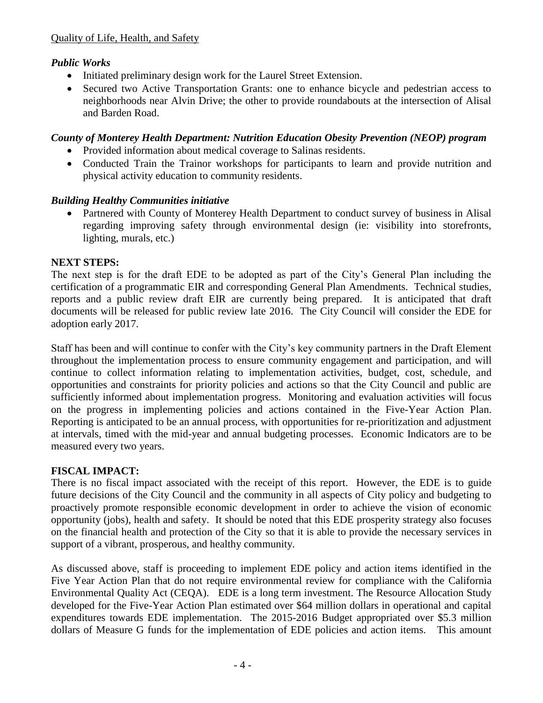## *Public Works*

- Initiated preliminary design work for the Laurel Street Extension.
- Secured two Active Transportation Grants: one to enhance bicycle and pedestrian access to neighborhoods near Alvin Drive; the other to provide roundabouts at the intersection of Alisal and Barden Road.

#### *County of Monterey Health Department: Nutrition Education Obesity Prevention (NEOP) program*

- Provided information about medical coverage to Salinas residents.
- Conducted Train the Trainor workshops for participants to learn and provide nutrition and physical activity education to community residents.

### *Building Healthy Communities initiative*

 Partnered with County of Monterey Health Department to conduct survey of business in Alisal regarding improving safety through environmental design (ie: visibility into storefronts, lighting, murals, etc.)

### **NEXT STEPS:**

The next step is for the draft EDE to be adopted as part of the City's General Plan including the certification of a programmatic EIR and corresponding General Plan Amendments. Technical studies, reports and a public review draft EIR are currently being prepared. It is anticipated that draft documents will be released for public review late 2016. The City Council will consider the EDE for adoption early 2017.

Staff has been and will continue to confer with the City's key community partners in the Draft Element throughout the implementation process to ensure community engagement and participation, and will continue to collect information relating to implementation activities, budget, cost, schedule, and opportunities and constraints for priority policies and actions so that the City Council and public are sufficiently informed about implementation progress. Monitoring and evaluation activities will focus on the progress in implementing policies and actions contained in the Five-Year Action Plan. Reporting is anticipated to be an annual process, with opportunities for re-prioritization and adjustment at intervals, timed with the mid-year and annual budgeting processes. Economic Indicators are to be measured every two years.

## **FISCAL IMPACT:**

There is no fiscal impact associated with the receipt of this report. However, the EDE is to guide future decisions of the City Council and the community in all aspects of City policy and budgeting to proactively promote responsible economic development in order to achieve the vision of economic opportunity (jobs), health and safety. It should be noted that this EDE prosperity strategy also focuses on the financial health and protection of the City so that it is able to provide the necessary services in support of a vibrant, prosperous, and healthy community.

As discussed above, staff is proceeding to implement EDE policy and action items identified in the Five Year Action Plan that do not require environmental review for compliance with the California Environmental Quality Act (CEQA). EDE is a long term investment. The Resource Allocation Study developed for the Five-Year Action Plan estimated over \$64 million dollars in operational and capital expenditures towards EDE implementation. The 2015-2016 Budget appropriated over \$5.3 million dollars of Measure G funds for the implementation of EDE policies and action items. This amount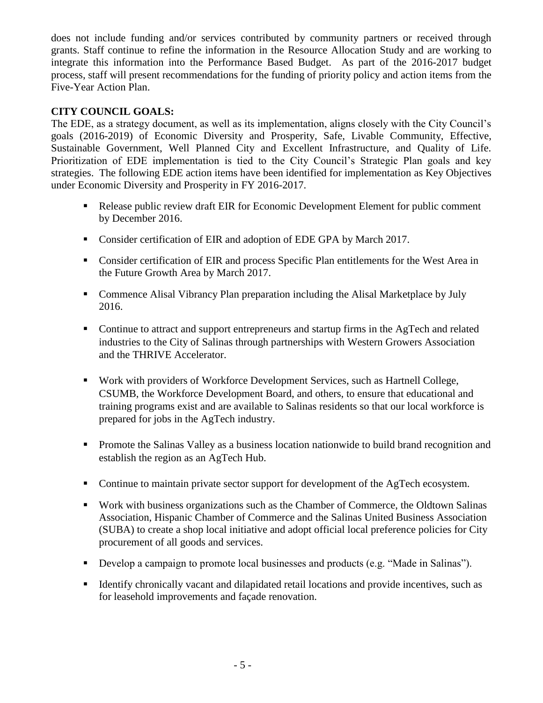does not include funding and/or services contributed by community partners or received through grants. Staff continue to refine the information in the Resource Allocation Study and are working to integrate this information into the Performance Based Budget. As part of the 2016-2017 budget process, staff will present recommendations for the funding of priority policy and action items from the Five-Year Action Plan.

### **CITY COUNCIL GOALS:**

The EDE, as a strategy document, as well as its implementation, aligns closely with the City Council's goals (2016-2019) of Economic Diversity and Prosperity, Safe, Livable Community, Effective, Sustainable Government, Well Planned City and Excellent Infrastructure, and Quality of Life. Prioritization of EDE implementation is tied to the City Council's Strategic Plan goals and key strategies. The following EDE action items have been identified for implementation as Key Objectives under Economic Diversity and Prosperity in FY 2016-2017.

- Release public review draft EIR for Economic Development Element for public comment by December 2016.
- Consider certification of EIR and adoption of EDE GPA by March 2017.
- **Consider certification of EIR and process Specific Plan entitlements for the West Area in** the Future Growth Area by March 2017.
- Commence Alisal Vibrancy Plan preparation including the Alisal Marketplace by July 2016.
- Continue to attract and support entrepreneurs and startup firms in the AgTech and related industries to the City of Salinas through partnerships with Western Growers Association and the THRIVE Accelerator.
- **Work with providers of Workforce Development Services, such as Hartnell College,** CSUMB, the Workforce Development Board, and others, to ensure that educational and training programs exist and are available to Salinas residents so that our local workforce is prepared for jobs in the AgTech industry.
- **Promote the Salinas Valley as a business location nationwide to build brand recognition and** establish the region as an AgTech Hub.
- Continue to maintain private sector support for development of the AgTech ecosystem.
- Work with business organizations such as the Chamber of Commerce, the Oldtown Salinas Association, Hispanic Chamber of Commerce and the Salinas United Business Association (SUBA) to create a shop local initiative and adopt official local preference policies for City procurement of all goods and services.
- Develop a campaign to promote local businesses and products (e.g. "Made in Salinas").
- Identify chronically vacant and dilapidated retail locations and provide incentives, such as for leasehold improvements and façade renovation.